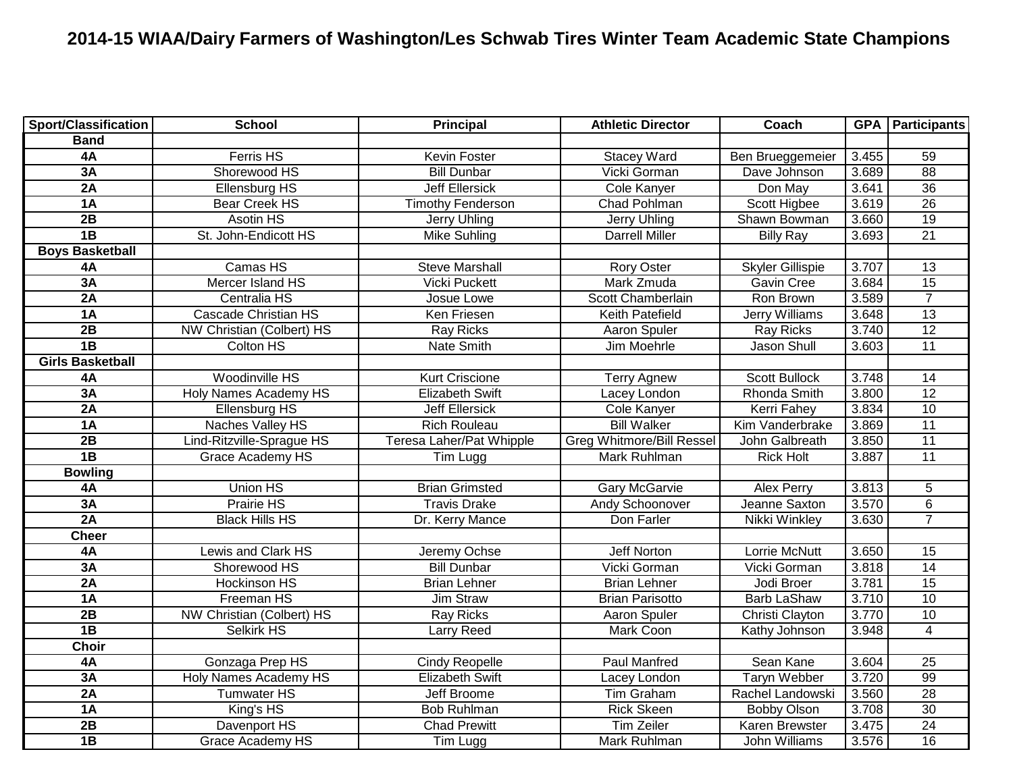## **2014-15 WIAA/Dairy Farmers of Washington/Les Schwab Tires Winter Team Academic State Champions**

| <b>Sport/Classification</b> | <b>School</b>                    | <b>Principal</b>         | <b>Athletic Director</b>         | Coach                 |       | <b>GPA   Participants</b> |
|-----------------------------|----------------------------------|--------------------------|----------------------------------|-----------------------|-------|---------------------------|
| <b>Band</b>                 |                                  |                          |                                  |                       |       |                           |
| 4A                          | <b>Ferris HS</b>                 | <b>Kevin Foster</b>      | <b>Stacey Ward</b>               | Ben Brueggemeier      | 3.455 | 59                        |
| 3A                          | Shorewood HS                     | <b>Bill Dunbar</b>       | Vicki Gorman                     | Dave Johnson          | 3.689 | $\overline{88}$           |
| 2A                          | <b>Ellensburg HS</b>             | <b>Jeff Ellersick</b>    | Cole Kanyer                      | Don May               | 3.641 | 36                        |
| 1A                          | <b>Bear Creek HS</b>             | <b>Timothy Fenderson</b> | <b>Chad Pohlman</b>              | Scott Higbee          | 3.619 | $\overline{26}$           |
| $\overline{2B}$             | Asotin HS                        | Jerry Uhling             | Jerry Uhling                     | Shawn Bowman          | 3.660 | $\overline{19}$           |
| 1B                          | St. John-Endicott HS             | Mike Suhling             | <b>Darrell Miller</b>            | <b>Billy Ray</b>      | 3.693 | $\overline{21}$           |
| <b>Boys Basketball</b>      |                                  |                          |                                  |                       |       |                           |
| 4A                          | Camas HS                         | <b>Steve Marshall</b>    | <b>Rory Oster</b>                | Skyler Gillispie      | 3.707 | 13                        |
| 3A                          | Mercer Island HS                 | <b>Vicki Puckett</b>     | Mark Zmuda                       | <b>Gavin Cree</b>     | 3.684 | 15                        |
| 2A                          | Centralia HS                     | Josue Lowe               | Scott Chamberlain                | Ron Brown             | 3.589 | $\overline{7}$            |
| 1A                          | <b>Cascade Christian HS</b>      | Ken Friesen              | Keith Patefield                  | Jerry Williams        | 3.648 | 13                        |
| 2B                          | <b>NW Christian (Colbert) HS</b> | <b>Ray Ricks</b>         | Aaron Spuler                     | <b>Ray Ricks</b>      | 3.740 | 12                        |
| $\overline{AB}$             | Colton HS                        | Nate Smith               | Jim Moehrle                      | Jason Shull           | 3.603 | 11                        |
| <b>Girls Basketball</b>     |                                  |                          |                                  |                       |       |                           |
| 4A                          | Woodinville HS                   | <b>Kurt Criscione</b>    | <b>Terry Agnew</b>               | <b>Scott Bullock</b>  | 3.748 | 14                        |
| 3A                          | Holy Names Academy HS            | <b>Elizabeth Swift</b>   | Lacey London                     | Rhonda Smith          | 3.800 | 12                        |
| 2A                          | <b>Ellensburg HS</b>             | <b>Jeff Ellersick</b>    | Cole Kanyer                      | Kerri Fahey           | 3.834 | 10                        |
| 1A                          | Naches Valley HS                 | <b>Rich Rouleau</b>      | <b>Bill Walker</b>               | Kim Vanderbrake       | 3.869 | 11                        |
| $\overline{2B}$             | Lind-Ritzville-Sprague HS        | Teresa Laher/Pat Whipple | <b>Greg Whitmore/Bill Ressel</b> | John Galbreath        | 3.850 | 11                        |
| 1B                          | Grace Academy HS                 | Tim Lugg                 | Mark Ruhlman                     | <b>Rick Holt</b>      | 3.887 | 11                        |
| <b>Bowling</b>              |                                  |                          |                                  |                       |       |                           |
| 4A                          | Union HS                         | <b>Brian Grimsted</b>    | <b>Gary McGarvie</b>             | <b>Alex Perry</b>     | 3.813 | 5                         |
| 3A                          | Prairie HS                       | <b>Travis Drake</b>      | Andy Schoonover                  | Jeanne Saxton         | 3.570 | $\overline{6}$            |
| 2A                          | <b>Black Hills HS</b>            | Dr. Kerry Mance          | Don Farler                       | Nikki Winkley         | 3.630 | $\overline{7}$            |
| <b>Cheer</b>                |                                  |                          |                                  |                       |       |                           |
| 4A                          | Lewis and Clark HS               | Jeremy Ochse             | Jeff Norton                      | Lorrie McNutt         | 3.650 | 15                        |
| 3A                          | Shorewood HS                     | <b>Bill Dunbar</b>       | Vicki Gorman                     | Vicki Gorman          | 3.818 | 14                        |
| 2A                          | Hockinson HS                     | <b>Brian Lehner</b>      | <b>Brian Lehner</b>              | Jodi Broer            | 3.781 | $\overline{15}$           |
| 1A                          | Freeman HS                       | Jim Straw                | <b>Brian Parisotto</b>           | <b>Barb LaShaw</b>    | 3.710 | $\overline{10}$           |
| 2B                          | <b>NW Christian (Colbert) HS</b> | <b>Ray Ricks</b>         | Aaron Spuler                     | Christi Clayton       | 3.770 | 10                        |
| $\overline{AB}$             | <b>Selkirk HS</b>                | <b>Larry Reed</b>        | Mark Coon                        | Kathy Johnson         | 3.948 | $\overline{4}$            |
| <b>Choir</b>                |                                  |                          |                                  |                       |       |                           |
| 4A                          | Gonzaga Prep HS                  | <b>Cindy Reopelle</b>    | <b>Paul Manfred</b>              | Sean Kane             | 3.604 | $\overline{25}$           |
| 3A                          | <b>Holy Names Academy HS</b>     | <b>Elizabeth Swift</b>   | Lacey London                     | <b>Taryn Webber</b>   | 3.720 | $\overline{99}$           |
| 2A                          | <b>Tumwater HS</b>               | Jeff Broome              | Tim Graham                       | Rachel Landowski      | 3.560 | $\overline{28}$           |
| 1A                          | King's HS                        | <b>Bob Ruhlman</b>       | <b>Rick Skeen</b>                | <b>Bobby Olson</b>    | 3.708 | 30                        |
| 2B                          | Davenport HS                     | <b>Chad Prewitt</b>      | <b>Tim Zeiler</b>                | <b>Karen Brewster</b> | 3.475 | 24                        |
| 1B                          | <b>Grace Academy HS</b>          | Tim Lugg                 | Mark Ruhlman                     | John Williams         | 3.576 | $\overline{16}$           |